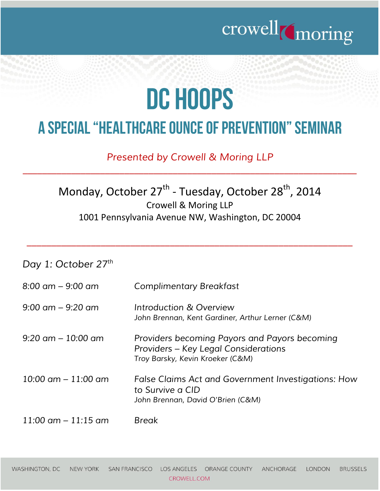

## DC HOOPS

## A SPECIAL "HEALTHCARE OUNCE OF PREVENTION" SEMINAR

*Presented by Crowell & Moring LLP*

*\_\_\_\_\_\_\_\_\_\_\_\_\_\_\_\_\_\_\_\_\_\_\_\_\_\_\_\_\_\_\_\_\_\_\_\_\_\_\_\_\_\_\_\_\_\_\_\_\_\_\_\_\_\_\_\_\_\_\_\_\_\_\_\_\_\_\_\_\_*

## Monday, October 27<sup>th</sup> - Tuesday, October 28<sup>th</sup>, 2014 Crowell & Moring LLP 1001 Pennsylvania Avenue NW, Washington, DC 20004

 $\overline{a_1}$  , and the set of the set of the set of the set of the set of the set of the set of the set of the set of the set of the set of the set of the set of the set of the set of the set of the set of the set of the se

| Day 1: October 27th                   |                                                                                                                           |
|---------------------------------------|---------------------------------------------------------------------------------------------------------------------------|
| $8:00 \text{ cm} - 9:00 \text{ cm}$   | <b>Complimentary Breakfast</b>                                                                                            |
| $9:00 \text{ cm} - 9:20 \text{ cm}$   | Introduction & Overview<br>John Brennan, Kent Gardiner, Arthur Lerner (C&M)                                               |
| $9:20$ am $-10:00$ am                 | Providers becoming Payors and Payors becoming<br>Providers – Key Legal Considerations<br>Troy Barsky, Kevin Kroeker (C&M) |
| $10:00 \text{ cm} - 11:00 \text{ cm}$ | False Claims Act and Government Investigations: How<br>to Survive a CID<br>John Brennan, David O'Brien (C&M)              |
| $11:00$ am $-11:15$ am                | <b>Break</b>                                                                                                              |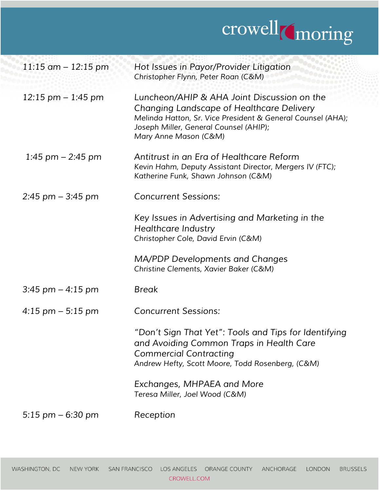

| $11:15$ am $-12:15$ pm | Hot Issues in Payor/Provider Litigation<br>Christopher Flynn, Peter Roan (C&M)                                                                                                                                             |
|------------------------|----------------------------------------------------------------------------------------------------------------------------------------------------------------------------------------------------------------------------|
| $12:15$ pm $-1:45$ pm  | Luncheon/AHIP & AHA Joint Discussion on the<br>Changing Landscape of Healthcare Delivery<br>Melinda Hatton, Sr. Vice President & General Counsel (AHA);<br>Joseph Miller, General Counsel (AHIP);<br>Mary Anne Mason (C&M) |
| 1:45 pm $-$ 2:45 pm    | Antitrust in an Era of Healthcare Reform<br>Kevin Hahm, Deputy Assistant Director, Mergers IV (FTC);<br>Katherine Funk, Shawn Johnson (C&M)                                                                                |
| $2:45$ pm $-3:45$ pm   | <b>Concurrent Sessions:</b>                                                                                                                                                                                                |
|                        | Key Issues in Advertising and Marketing in the<br><b>Healthcare Industry</b><br>Christopher Cole, David Ervin (C&M)                                                                                                        |
|                        | MA/PDP Developments and Changes<br>Christine Clements, Xavier Baker (C&M)                                                                                                                                                  |
| $3:45$ pm $-4:15$ pm   | <b>Break</b>                                                                                                                                                                                                               |
| $4:15$ pm $-5:15$ pm   | <b>Concurrent Sessions:</b>                                                                                                                                                                                                |
|                        | "Don't Sign That Yet": Tools and Tips for Identifying<br>and Avoiding Common Traps in Health Care<br><b>Commercial Contracting</b><br>Andrew Hefty, Scott Moore, Todd Rosenberg, (C&M)                                     |
|                        | Exchanges, MHPAEA and More<br>Teresa Miller, Joel Wood (C&M)                                                                                                                                                               |
| 5:15 $pm - 6:30$ pm    | Reception                                                                                                                                                                                                                  |